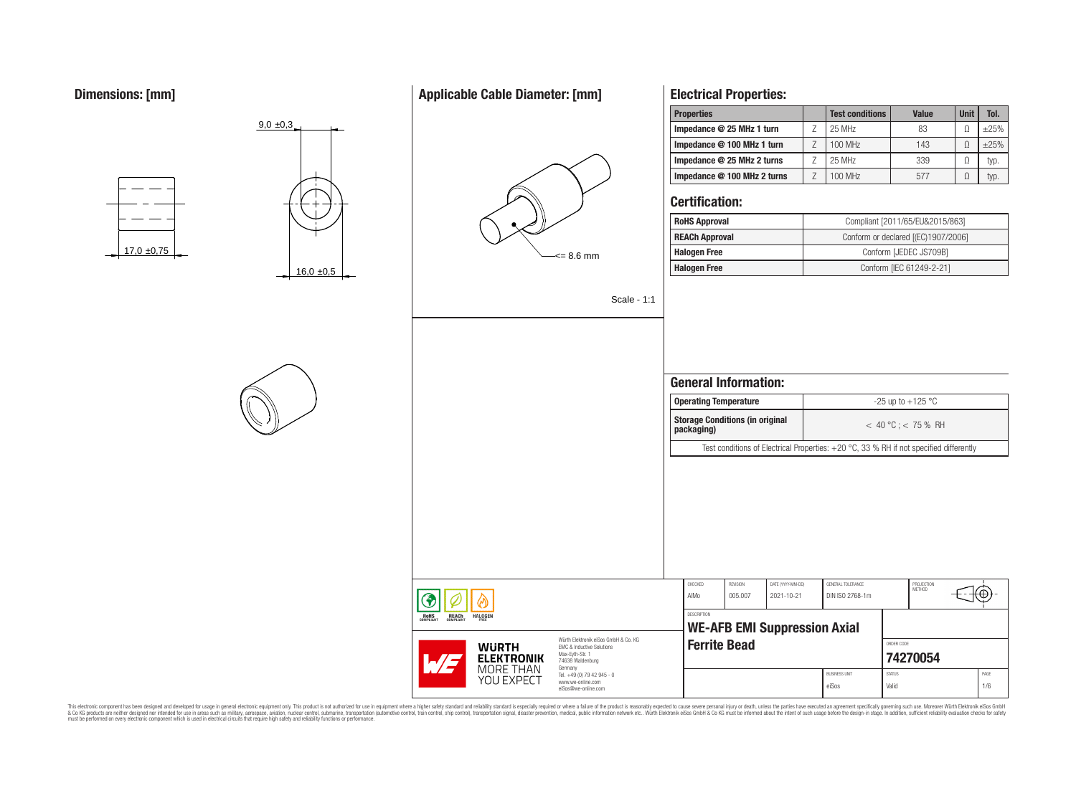# **Dimensions: [mm]**

# **Applicable Cable Diameter: [mm]**



# **Electrical Properties:**

| <b>Properties</b>           | <b>Test conditions</b> | <b>Value</b> | <b>Unit</b> | Tol.   |
|-----------------------------|------------------------|--------------|-------------|--------|
| Impedance @ 25 MHz 1 turn   | 25 MHz                 | 83           |             | $+25%$ |
| Impedance @ 100 MHz 1 turn  | 100 MHz                | 143          |             | $+25%$ |
| Impedance @ 25 MHz 2 turns  | 25 MHz                 | 339          | O           | typ.   |
| Impedance @ 100 MHz 2 turns | 100 MHz                | 577          |             | typ.   |

## **Certification:**

| <b>RoHS Approval</b>  | Compliant [2011/65/EU&2015/863]     |
|-----------------------|-------------------------------------|
| <b>REACh Approval</b> | Conform or declared [(EC)1907/2006] |
| <b>Halogen Free</b>   | Conform [JEDEC JS709B]              |
| <b>Halogen Free</b>   | Conform [IEC 61249-2-21]            |

Scale - 1:1

# **General Information: Operating Temperature discriming Temperature**  $-25 \text{ up to } +125 \text{ °C}$ **Storage Conditions (in original packaging)** < 40 °C ; < 75 % RH Test conditions of Electrical Properties: +20 °C, 33 % RH if not specified differently CHECKED REVISION DATE (YYYY-MM-DD) GENERAL TOLERANCE PROJECTION<br>METHOD Έ AlMo 005.007 2021-10-21 DIN ISO 2768-1m DESCRIPTION **WE-AFB EMI Suppression Axial Ferrite Bead CONDER CONDER CODE [74270054](https://www.we-online.com/catalog/en/article/74270054)**

BUSINESS UNIT STATUS STATUS PAGE eiSos Valid 1/6

This electronic component has been designed and developed for usage in general electronic equipment only. This product is not authorized for subserved requipment where a higher selection equipment where a higher selection











**REACH** 

**HALOGEN** 

RoHS

Würth Elektronik eiSos GmbH & Co. KG EMC & Inductive Solutions Max-Eyth-Str. 1 74638 Waldenburg Germany Tel. +49 (0) 79 42 945 - 0 www.we-online.com eiSos@we-online.com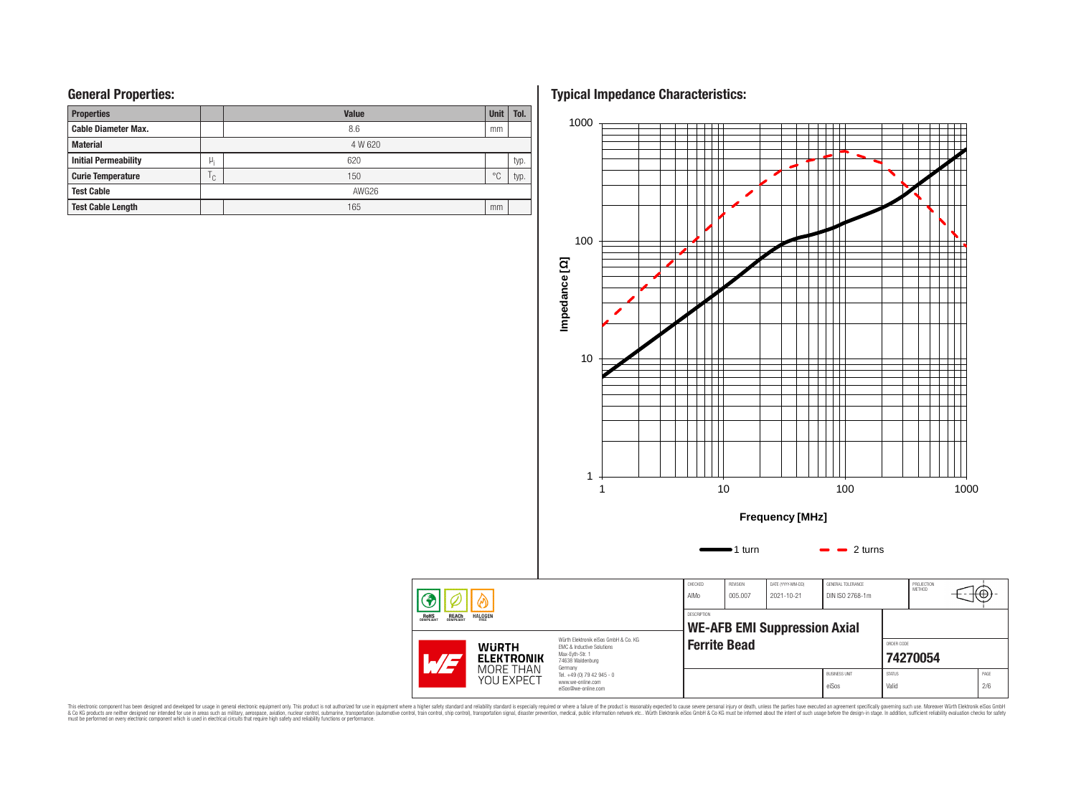## **General Properties:**

| <b>Properties</b>           |              | <b>Value</b> | <b>Unit</b>    | Tol. |  |  |  |
|-----------------------------|--------------|--------------|----------------|------|--|--|--|
| <b>Cable Diameter Max.</b>  |              | 8.6          | mm             |      |  |  |  |
| <b>Material</b>             |              | 4 W 620      |                |      |  |  |  |
| <b>Initial Permeability</b> | μ,           | 620          |                | typ. |  |  |  |
| <b>Curie Temperature</b>    | $\mathsf{C}$ | 150          | $\circ$ $\cap$ | typ. |  |  |  |
| <b>Test Cable</b>           |              | AWG26        |                |      |  |  |  |
| <b>Test Cable Length</b>    |              | 165          | mm             |      |  |  |  |

**Typical Impedance Characteristics:**



This electronic component has been designed and developed for usage in general electronic equipment only. This product is not authorized for subserved requipment where a higher selection equipment where a higher selection

◈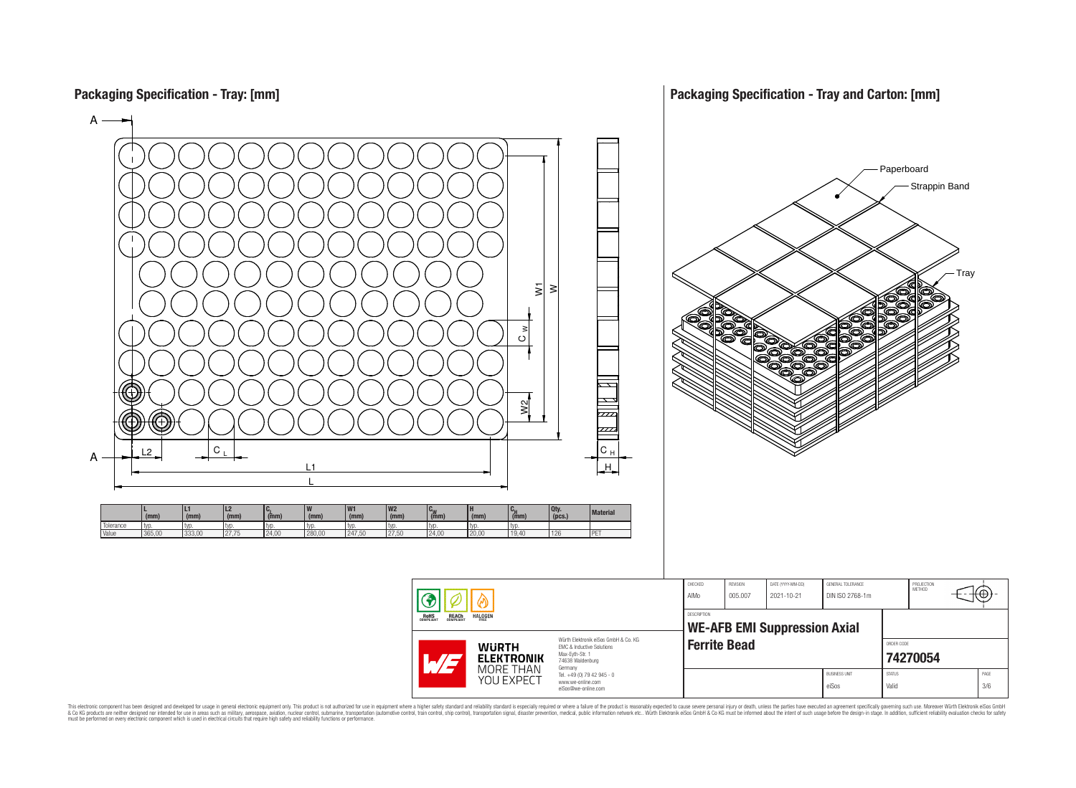**Packaging Specification - Tray: [mm]**



This electronic component has been designed and developed for usage in general electronic equipment only. This product is not authorized for use in equipment where a higher safely standard and reliability standard si espec & Ook product a label and the membed of the seasuch as marked and as which such a membed and the such assume that income in the seasuch and the simulation and the such assume that include to the such a membed and the such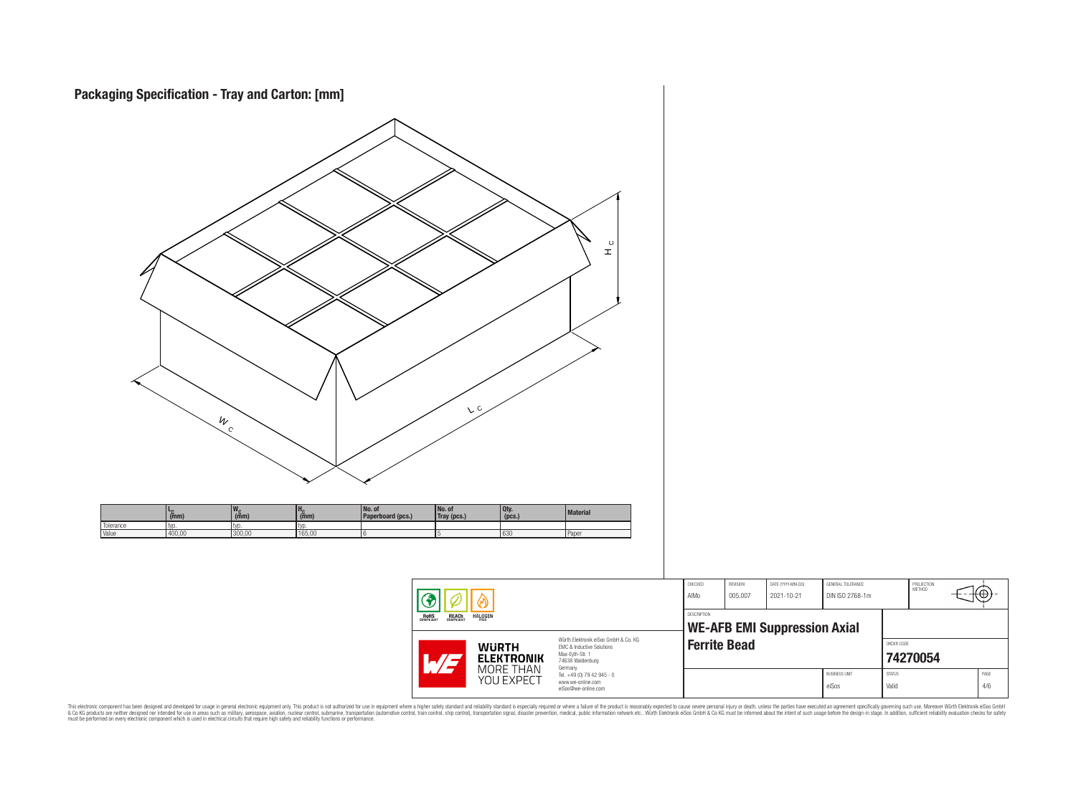

This electronic component has been designed and developed for usage in general electronic equipment only. This product is not authorized for subserved requipment where a higher selection equipment where a higher selection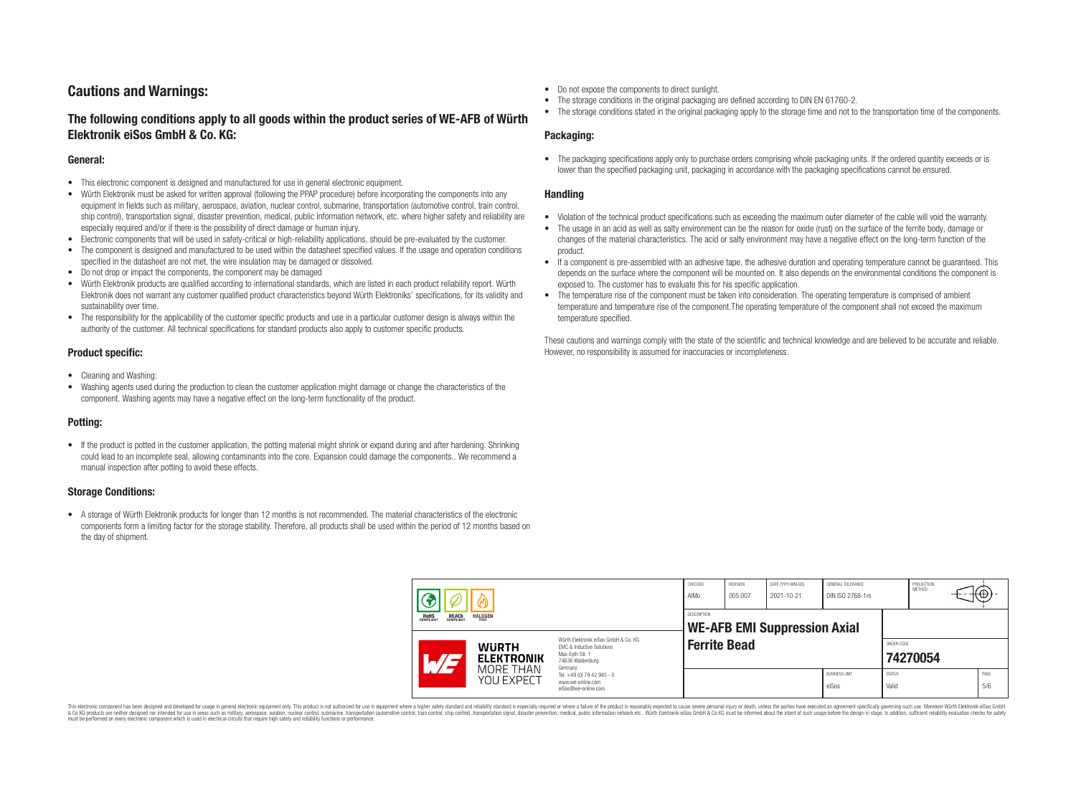# **Cautions and Warnings:**

# **The following conditions apply to all goods within the product series of WE-AFB of Würth Elektronik eiSos GmbH & Co. KG:**

#### **General:**

- This electronic component is designed and manufactured for use in general electronic equipment.
- Würth Elektronik must be asked for written approval (following the PPAP procedure) before incorporating the components into any equipment in fields such as military, aerospace, aviation, nuclear control, submarine, transportation (automotive control, train control, ship control), transportation signal, disaster prevention, medical, public information network, etc. where higher safety and reliability are especially required and/or if there is the possibility of direct damage or human injury.
- Electronic components that will be used in safety-critical or high-reliability applications, should be pre-evaluated by the customer.
- The component is designed and manufactured to be used within the datasheet specified values. If the usage and operation conditions specified in the datasheet are not met, the wire insulation may be damaged or dissolved.
- Do not drop or impact the components, the component may be damaged
- Würth Elektronik products are qualified according to international standards, which are listed in each product reliability report. Würth Elektronik does not warrant any customer qualified product characteristics beyond Würth Elektroniks' specifications, for its validity and sustainability over time.
- The responsibility for the applicability of the customer specific products and use in a particular customer design is always within the authority of the customer. All technical specifications for standard products also apply to customer specific products.

#### **Product specific:**

- Cleaning and Washing:
- Washing agents used during the production to clean the customer application might damage or change the characteristics of the component. Washing agents may have a negative effect on the long-term functionality of the product.

#### **Potting:**

• If the product is potted in the customer application, the potting material might shrink or expand during and after hardening. Shrinking could lead to an incomplete seal, allowing contaminants into the core. Expansion could damage the components.. We recommend a manual inspection after potting to avoid these effects.

#### **Storage Conditions:**

• A storage of Würth Elektronik products for longer than 12 months is not recommended. The material characteristics of the electronic components form a limiting factor for the storage stability. Therefore, all products shall be used within the period of 12 months based on the day of shipment.

- Do not expose the components to direct sunlight.
- The storage conditions in the original packaging are defined according to DIN EN 61760-2.
- The storage conditions stated in the original packaging apply to the storage time and not to the transportation time of the components.

#### **Packaging:**

• The packaging specifications apply only to purchase orders comprising whole packaging units. If the ordered quantity exceeds or is lower than the specified packaging unit, packaging in accordance with the packaging specifications cannot be ensured.

#### **Handling**

- Violation of the technical product specifications such as exceeding the maximum outer diameter of the cable will void the warranty.
- The usage in an acid as well as salty environment can be the reason for oxide (rust) on the surface of the ferrite body, damage or changes of the material characteristics. The acid or salty environment may have a negative effect on the long-term function of the product.
- If a component is pre-assembled with an adhesive tape, the adhesive duration and operating temperature cannot be guaranteed. This depends on the surface where the component will be mounted on. It also depends on the environmental conditions the component is exposed to. The customer has to evaluate this for his specific application.
- The temperature rise of the component must be taken into consideration. The operating temperature is comprised of ambient temperature and temperature rise of the component.The operating temperature of the component shall not exceed the maximum temperature specified.

These cautions and warnings comply with the state of the scientific and technical knowledge and are believed to be accurate and reliable. However, no responsibility is assumed for inaccuracies or incompleteness.

| <b>REACH</b><br>COMPLIANT<br><b>HALOGEN</b><br>ROHS<br>COMPLIANT |                                                                                                                                                                                       | CHECKED<br>AIMo                                           | <b>REVISION</b><br>005.007                                                        | DATE (YYYY-MM-DD)<br>2021-10-21 | GENERAL TOLERANCE<br>DIN ISO 2768-1m |  | PROJECTION<br>METHOD          | ι€Ψ                    |  |             |
|------------------------------------------------------------------|---------------------------------------------------------------------------------------------------------------------------------------------------------------------------------------|-----------------------------------------------------------|-----------------------------------------------------------------------------------|---------------------------------|--------------------------------------|--|-------------------------------|------------------------|--|-------------|
|                                                                  |                                                                                                                                                                                       | <b>DESCRIPTION</b><br><b>WE-AFB EMI Suppression Axial</b> |                                                                                   |                                 |                                      |  |                               |                        |  |             |
|                                                                  | Würth Elektronik eiSos GmbH & Co. KG<br><b>WURTH</b><br><b>EMC &amp; Inductive Solutions</b><br>Max-Eyth-Str. 1<br><b>ELEKTRONIK</b><br>$\mathcal{A}/\mathcal{A}$<br>74638 Waldenburg |                                                           | <b>Ferrite Bead</b>                                                               |                                 |                                      |  | ORDER CODE                    | 74270054               |  |             |
|                                                                  |                                                                                                                                                                                       | MORE THAN<br>YOU EXPECT                                   | Germany<br>Tel. +49 (0) 79 42 945 - 0<br>www.we-online.com<br>eiSos@we-online.com |                                 |                                      |  | <b>BUSINESS UNIT</b><br>eiSos | <b>STATUS</b><br>Valid |  | PAGE<br>5/6 |

This electronic component has been designed and developed for usage in general electronic equipment only. This product is not authorized for use in equipment where a higher safety standard and reliability standard si espec & Ook product a label and the membed of the seasuch as marked and as which such a membed and the such assume that income in the seasuch and the simulation and the such assume that include to the such a membed and the such